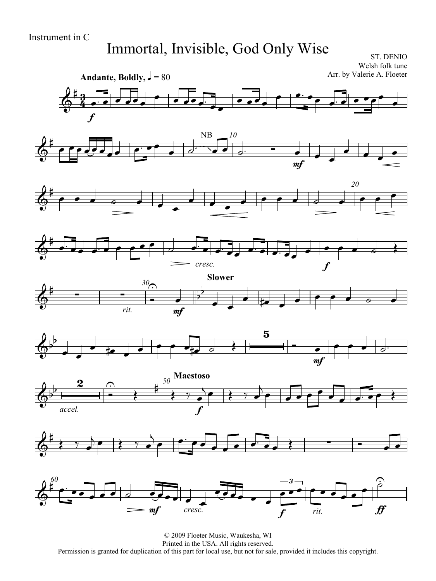## Immortal, Invisible, God Only Wise

ST. DENIO Welsh folk tune Arr. by Valerie A. Floeter

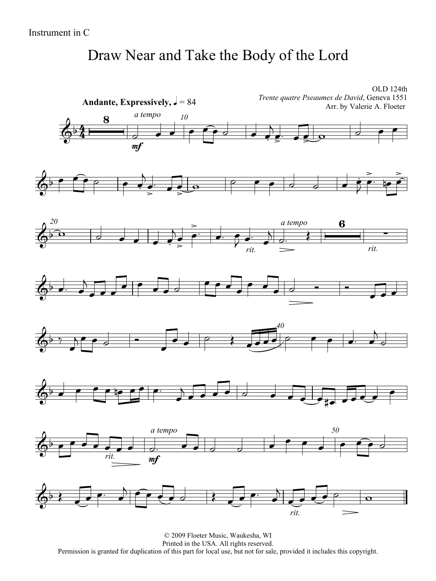## Draw Near and Take the Body of the Lord

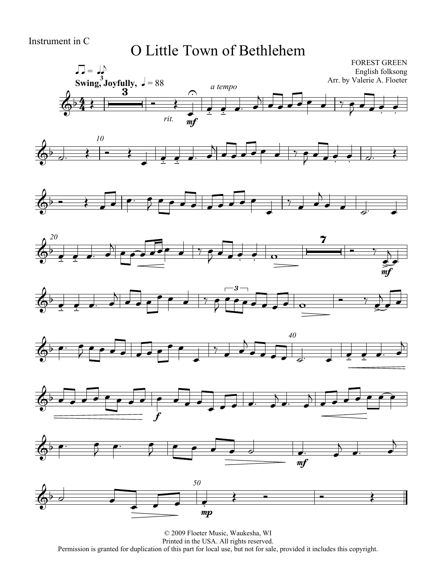## O Little Town of Bethlehem

















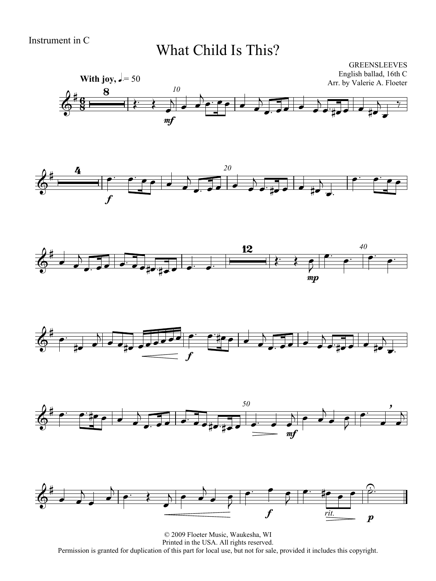### What Child Is This?











![](_page_3_Figure_7.jpeg)

© 2009 Floeter Music, Waukesha, WI Printed in the USA. All rights reserved. Permission is granted for duplication of this part for local use, but not for sale, provided it includes this copyright.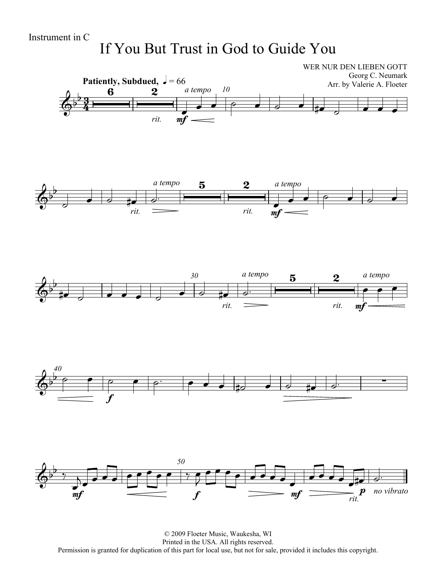## If You But Trust in God to Guide You

![](_page_4_Figure_2.jpeg)

© 2009 Floeter Music, Waukesha, WI Printed in the USA. All rights reserved. Permission is granted for duplication of this part for local use, but not for sale, provided it includes this copyright.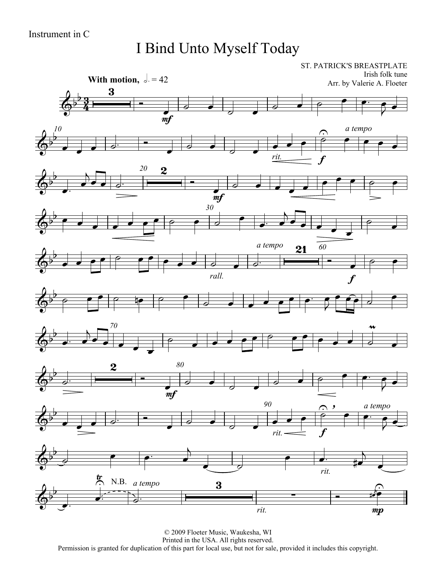I Bind Unto Myself Today

![](_page_5_Figure_2.jpeg)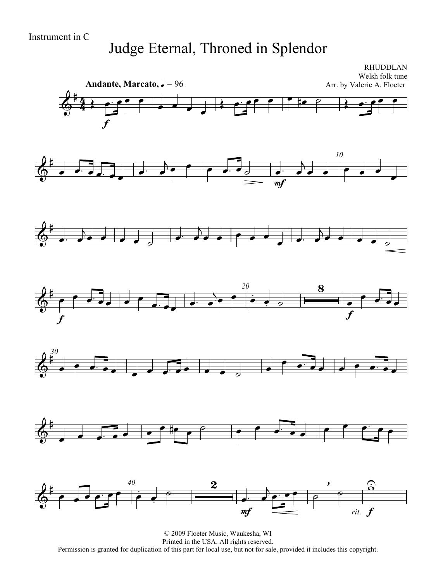## Judge Eternal, Throned in Splendor

![](_page_6_Figure_2.jpeg)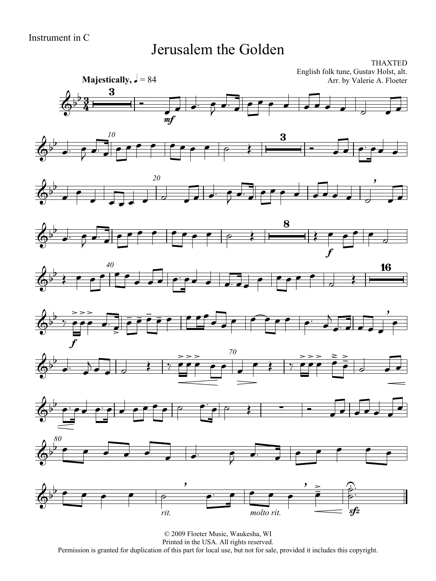#### Jerusalem the Golden

![](_page_7_Figure_2.jpeg)

![](_page_7_Figure_3.jpeg)

![](_page_7_Figure_4.jpeg)

![](_page_7_Figure_5.jpeg)

![](_page_7_Figure_6.jpeg)

![](_page_7_Figure_7.jpeg)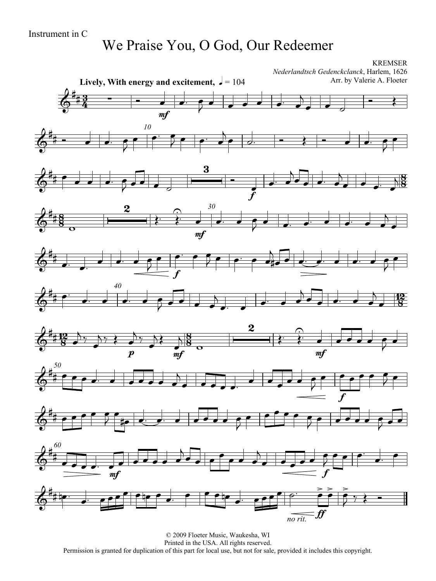## We Praise You, O God, Our Redeemer

![](_page_8_Figure_2.jpeg)